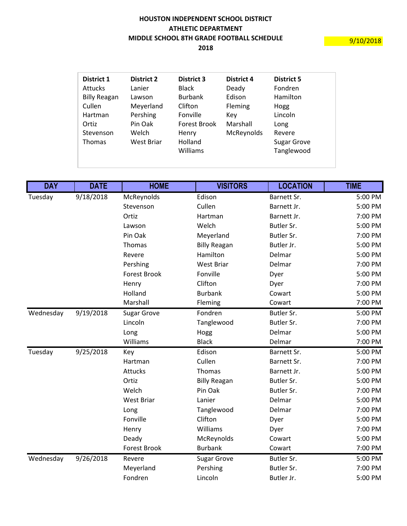## **HOUSTON INDEPENDENT SCHOOL DISTRICT ATHLETIC DEPARTMENT MIDDLE SCHOOL 8TH GRADE FOOTBALL SCHEDULE**

**2018**

| <b>District 1</b>                   | <b>District 2</b>              | <b>District 3</b>                                   | <b>District 4</b>      | <b>District 5</b>                                  |
|-------------------------------------|--------------------------------|-----------------------------------------------------|------------------------|----------------------------------------------------|
| <b>Attucks</b>                      | Lanier                         | <b>Black</b>                                        | Deady                  | Fondren                                            |
| <b>Billy Reagan</b>                 | Lawson                         | <b>Burbank</b>                                      | Edison                 | Hamilton                                           |
| Cullen                              | Meyerland                      | Clifton                                             | Fleming                | Hogg                                               |
| Hartman                             | Pershing                       | Fonville                                            | Key                    | Lincoln                                            |
| Ortiz<br>Stevenson<br><b>Thomas</b> | Pin Oak<br>Welch<br>West Briar | <b>Forest Brook</b><br>Henry<br>Holland<br>Williams | Marshall<br>McReynolds | Long<br>Revere<br><b>Sugar Grove</b><br>Tanglewood |

| <b>DAY</b> | <b>DATE</b> | <b>HOME</b>         | <b>VISITORS</b>     | <b>LOCATION</b>   | <b>TIME</b> |
|------------|-------------|---------------------|---------------------|-------------------|-------------|
| Tuesday    | 9/18/2018   | McReynolds          | Edison              | Barnett Sr.       | 5:00 PM     |
|            |             | Stevenson           | Cullen              | Barnett Jr.       | 5:00 PM     |
|            |             | Ortiz               | Hartman             | Barnett Jr.       | 7:00 PM     |
|            |             | Lawson              | Welch               | Butler Sr.        | 5:00 PM     |
|            |             | Pin Oak             | Meyerland           | Butler Sr.        | 7:00 PM     |
|            |             | Thomas              | <b>Billy Reagan</b> | Butler Jr.        | 5:00 PM     |
|            |             | Revere              | Hamilton            | Delmar            | 5:00 PM     |
|            |             | Pershing            | West Briar          | Delmar            | 7:00 PM     |
|            |             | <b>Forest Brook</b> | Fonville            | Dyer              | 5:00 PM     |
|            |             | Henry               | Clifton             | Dyer              | 7:00 PM     |
|            |             | Holland             | <b>Burbank</b>      | Cowart            | 5:00 PM     |
|            |             | Marshall            | Fleming             | Cowart            | 7:00 PM     |
| Wednesday  | 9/19/2018   | <b>Sugar Grove</b>  | Fondren             | <b>Butler Sr.</b> | 5:00 PM     |
|            |             | Lincoln             | Tanglewood          | Butler Sr.        | 7:00 PM     |
|            |             | Long                | Hogg                | Delmar            | 5:00 PM     |
|            |             | Williams            | <b>Black</b>        | Delmar            | 7:00 PM     |
| Tuesday    | 9/25/2018   | Key                 | Edison              | Barnett Sr.       | 5:00 PM     |
|            |             | Hartman             | Cullen              | Barnett Sr.       | 7:00 PM     |
|            |             | <b>Attucks</b>      | Thomas              | Barnett Jr.       | 5:00 PM     |
|            |             | Ortiz               | <b>Billy Reagan</b> | Butler Sr.        | 5:00 PM     |
|            |             | Welch               | Pin Oak             | Butler Sr.        | 7:00 PM     |
|            |             | <b>West Briar</b>   | Lanier              | Delmar            | 5:00 PM     |
|            |             | Long                | Tanglewood          | Delmar            | 7:00 PM     |
|            |             | Fonville            | Clifton             | Dyer              | 5:00 PM     |
|            |             | Henry               | Williams            | Dyer              | 7:00 PM     |
|            |             | Deady               | McReynolds          | Cowart            | 5:00 PM     |
|            |             | <b>Forest Brook</b> | <b>Burbank</b>      | Cowart            | 7:00 PM     |
| Wednesday  | 9/26/2018   | Revere              | <b>Sugar Grove</b>  | Butler Sr.        | 5:00 PM     |
|            |             | Meyerland           | Pershing            | Butler Sr.        | 7:00 PM     |
|            |             | Fondren             | Lincoln             | Butler Jr.        | 5:00 PM     |

 $\frac{9}{10/2018}$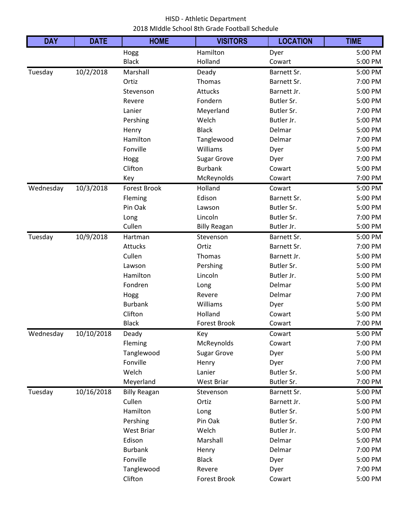## HISD - Athletic Department 2018 MIddle School 8th Grade Football Schedule

| <b>DAY</b> | <b>DATE</b> | <b>HOME</b>         | <b>VISITORS</b>     | <b>LOCATION</b> | <b>TIME</b> |
|------------|-------------|---------------------|---------------------|-----------------|-------------|
|            |             | Hogg                | Hamilton            | Dyer            | 5:00 PM     |
|            |             | <b>Black</b>        | Holland             | Cowart          | 5:00 PM     |
| Tuesday    | 10/2/2018   | Marshall            | Deady               | Barnett Sr.     | 5:00 PM     |
|            |             | Ortiz               | Thomas              | Barnett Sr.     | 7:00 PM     |
|            |             | Stevenson           | Attucks             | Barnett Jr.     | 5:00 PM     |
|            |             | Revere              | Fondern             | Butler Sr.      | 5:00 PM     |
|            |             | Lanier              | Meyerland           | Butler Sr.      | 7:00 PM     |
|            |             | Pershing            | Welch               | Butler Jr.      | 5:00 PM     |
|            |             | Henry               | <b>Black</b>        | Delmar          | 5:00 PM     |
|            |             | Hamilton            | Tanglewood          | Delmar          | 7:00 PM     |
|            |             | Fonville            | Williams            | Dyer            | 5:00 PM     |
|            |             | Hogg                | <b>Sugar Grove</b>  | Dyer            | 7:00 PM     |
|            |             | Clifton             | <b>Burbank</b>      | Cowart          | 5:00 PM     |
|            |             | Key                 | McReynolds          | Cowart          | 7:00 PM     |
| Wednesday  | 10/3/2018   | <b>Forest Brook</b> | Holland             | Cowart          | 5:00 PM     |
|            |             | Fleming             | Edison              | Barnett Sr.     | 5:00 PM     |
|            |             | Pin Oak             | Lawson              | Butler Sr.      | 5:00 PM     |
|            |             | Long                | Lincoln             | Butler Sr.      | 7:00 PM     |
|            |             | Cullen              | <b>Billy Reagan</b> | Butler Jr.      | 5:00 PM     |
| Tuesday    | 10/9/2018   | Hartman             | Stevenson           | Barnett Sr.     | 5:00 PM     |
|            |             | <b>Attucks</b>      | Ortiz               | Barnett Sr.     | 7:00 PM     |
|            |             | Cullen              | Thomas              | Barnett Jr.     | 5:00 PM     |
|            |             | Lawson              | Pershing            | Butler Sr.      | 5:00 PM     |
|            |             | Hamilton            | Lincoln             | Butler Jr.      | 5:00 PM     |
|            |             | Fondren             | Long                | Delmar          | 5:00 PM     |
|            |             | Hogg                | Revere              | Delmar          | 7:00 PM     |
|            |             | <b>Burbank</b>      | Williams            | Dyer            | 5:00 PM     |
|            |             | Clifton             | Holland             | Cowart          | 5:00 PM     |
|            |             | <b>Black</b>        | <b>Forest Brook</b> | Cowart          | 7:00 PM     |
| Wednesday  | 10/10/2018  | Deady               | Key                 | Cowart          | 5:00 PM     |
|            |             | Fleming             | McReynolds          | Cowart          | 7:00 PM     |
|            |             | Tanglewood          | <b>Sugar Grove</b>  | Dyer            | 5:00 PM     |
|            |             | Fonville            | Henry               | Dyer            | 7:00 PM     |
|            |             | Welch               | Lanier              | Butler Sr.      | 5:00 PM     |
|            |             | Meyerland           | <b>West Briar</b>   | Butler Sr.      | 7:00 PM     |
| Tuesday    | 10/16/2018  | <b>Billy Reagan</b> | Stevenson           | Barnett Sr.     | 5:00 PM     |
|            |             | Cullen              | Ortiz               | Barnett Jr.     | 5:00 PM     |
|            |             | Hamilton            | Long                | Butler Sr.      | 5:00 PM     |
|            |             | Pershing            | Pin Oak             | Butler Sr.      | 7:00 PM     |
|            |             | West Briar          | Welch               | Butler Jr.      | 5:00 PM     |
|            |             | Edison              | Marshall            | Delmar          | 5:00 PM     |
|            |             | <b>Burbank</b>      | Henry               | Delmar          | 7:00 PM     |
|            |             | Fonville            | <b>Black</b>        | Dyer            | 5:00 PM     |
|            |             | Tanglewood          | Revere              | Dyer            | 7:00 PM     |
|            |             | Clifton             | Forest Brook        | Cowart          | 5:00 PM     |